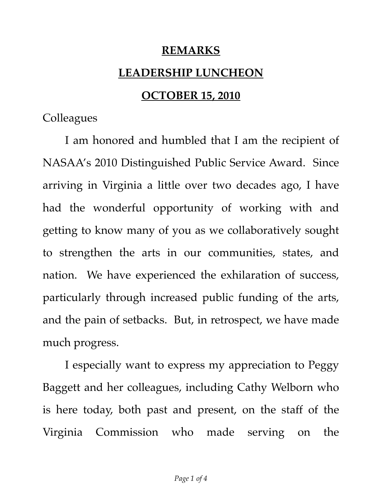## **REMARKS**

## **LEADERSHIP LUNCHEON**

## **OCTOBER 15, 2010**

**Colleagues** 

I am honored and humbled that I am the recipient of NASAA's 2010 Distinguished Public Service Award. Since arriving in Virginia a little over two decades ago, I have had the wonderful opportunity of working with and getting to know many of you as we collaboratively sought to strengthen the arts in our communities, states, and nation. We have experienced the exhilaration of success, particularly through increased public funding of the arts, and the pain of setbacks. But, in retrospect, we have made much progress.

I especially want to express my appreciation to Peggy Baggett and her colleagues, including Cathy Welborn who is here today, both past and present, on the staff of the Virginia Commission who made serving on the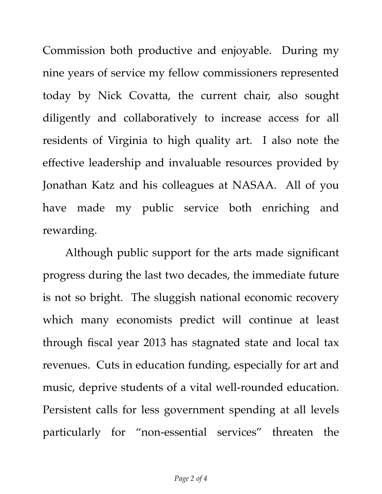Commission both productive and enjoyable. During my nine years of service my fellow commissioners represented today by Nick Covatta, the current chair, also sought diligently and collaboratively to increase access for all residents of Virginia to high quality art. I also note the effective leadership and invaluable resources provided by Jonathan Katz and his colleagues at NASAA. All of you have made my public service both enriching and rewarding.

Although public support for the arts made significant progress during the last two decades, the immediate future is not so bright. The sluggish national economic recovery which many economists predict will continue at least through fiscal year 2013 has stagnated state and local tax revenues. Cuts in education funding, especially for art and music, deprive students of a vital well-rounded education. Persistent calls for less government spending at all levels particularly for "non-essential services" threaten the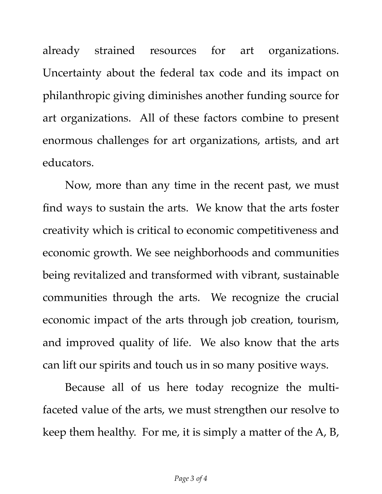already strained resources for art organizations. Uncertainty about the federal tax code and its impact on philanthropic giving diminishes another funding source for art organizations. All of these factors combine to present enormous challenges for art organizations, artists, and art educators.

Now, more than any time in the recent past, we must find ways to sustain the arts. We know that the arts foster creativity which is critical to economic competitiveness and economic growth. We see neighborhoods and communities being revitalized and transformed with vibrant, sustainable communities through the arts. We recognize the crucial economic impact of the arts through job creation, tourism, and improved quality of life. We also know that the arts can lift our spirits and touch us in so many positive ways.

Because all of us here today recognize the multifaceted value of the arts, we must strengthen our resolve to keep them healthy. For me, it is simply a matter of the A, B,